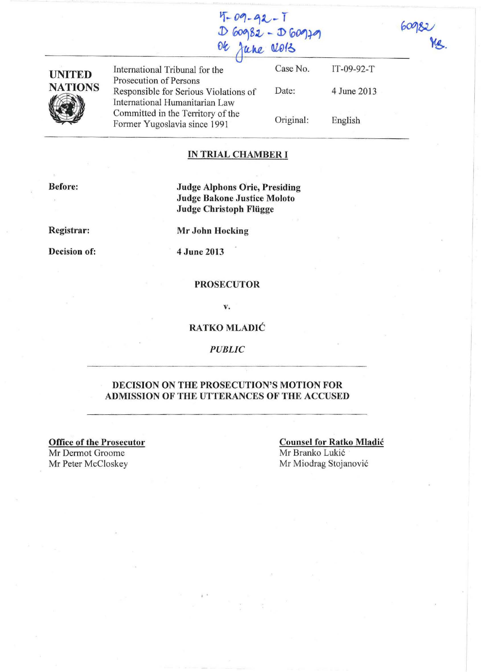| $4 - 09 - 92 - 1$ |  |
|-------------------|--|
| $D60982 - D60979$ |  |
| Or June 2013      |  |



International Tribunal for the Prosecution of Persons Responsible for Serious Violations of International Humanitarian Law Committed in the Territory of the Former Yugoslavia since 1991

Case No. Date: Original: IT-09-92-T 4 June 2013 English

### **IN TRIAL CHAMBER I**

**Before:** 

**Judge Alphons Orie, Presiding Judge Bakone Justice Moloto Judge Christoph Fliigge** 

**Registrar:** 

**Decision of:** 

**Mr John Hocking** 

4 **June 2013** 

### **PROSECUTOR**

v.

### **RATKO MLADIC**

*PUBLIC* 

### **DECISION ON THE PROSECUTION'S MOTION FOR ADMISSION OF THE UTTERANCES OF THE ACCUSED**

, .

**Office of the Prosecutor** 

Mr Dermot Groome<br>Mr Peter McCloskey

**Counsel for Ratko Mladic**  Mr Branko Lukić Mr Miodrag Stojanović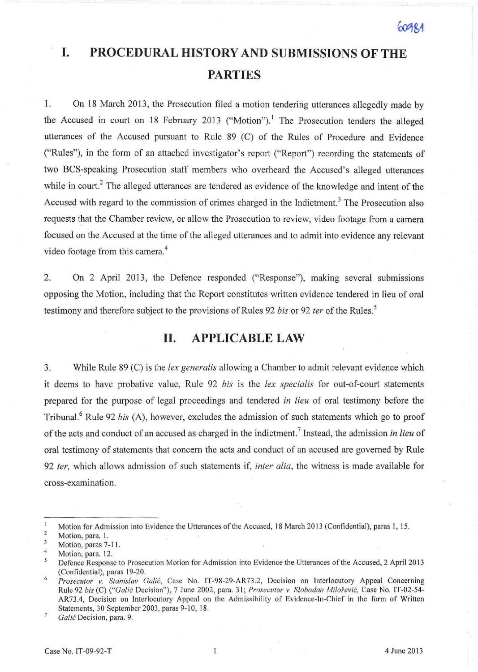# **I. PROCEDURAL HISTORY AND SUBMISSIONS OF THE PARTIES**

I. On 18 March 2013, the Prosecution filed a motion tendering utterances allegedly made by the Accused in court on 18 February 2013 ("Motion").<sup>1</sup> The Prosecution tenders the alleged utterances of the Accused pursuant to Rule 89 (C) of the Rules of Procedure and Evidence ("Rules"), in the form of an attached investigator's report ("Report") recording the statements of two BCS-speaking Prosecution staff members who overheard the Accused's alleged utterances while in court.<sup>2</sup> The alleged utterances are tendered as evidence of the knowledge and intent of the Accused with regard to the commission of crimes charged in the Indictment.<sup>3</sup> The Prosecution also requests that the Chamber review, or allow the Prosecution to review, video footage from a camera focused on the Accused at the time of the alleged utterances and to admit into evidence any relevant video footage from this camera. 4

2. On 2 April 2013, the Defence responded ("Response"), making several submissions opposing the Motion, including that the Report constitutes written evidence tendered in lieu of oral testimony and therefore subject to the provisions of Rules 92 *bis* or 92 *ter* of the Rules.<sup>5</sup>

## **H. APPLICABLE LAW**

3. While Rule 89 (C) is the *lex generalis* allowing a Chamber to admit relevant evidence which it deems to have probative value, Rule 92 *bis* is the *lex specia/is* for out-of-court statements prepared for the purpose of legal proceedings and tendered *in lieu* of oral testimony before the Tribunal.6 Rule 92 *his* (A), however, excludes the admission of such statements which go to proof of the acts and conduct of an accused as charged in the indictment.<sup>7</sup> Instead, the admission *in lieu* of oral testimony of statements that concern the acts and conduct of an accused are governed by Rule 92 ter, which allows admission of such statements if, inter *alia*, the witness is made available for cross-examination.

 $\overline{7}$ *Colic* Decision, para. 9.

 $\mathbf{1}$ Motion for Admission into Evidence the Utterances of the Accused, 18 March 2013 (Confidential), paras 1, 15. 2

Motion, para. I.  $\mathbf{3}$ 

<sup>4</sup>  Motion, paras 7-11.

Motion, para. 12.

<sup>5</sup> Defence Response to Prosecution Motion for Admission into Evidence the Utterances of the Accused, 2 April 2013 (Confidential), paras 19-20.

<sup>6</sup>  *Prosecutor v. Stanislav Galić*, Case No. IT-98-29-AR73.2, Decision on Interlocutory Appeal Concerning Rule 92 *bis* (C) *("ColiC* Decision"), 7 June 2002, para. 31; *Prosecutor v. Slobodan Milo.'evic.* Case No. IT-02-54- AR73.4, Decision on Interlocutory Appeal on the Admissibility of Evidence-In-Chief in the form of Written Statements, 30 September 2003, paras 9-10, 18.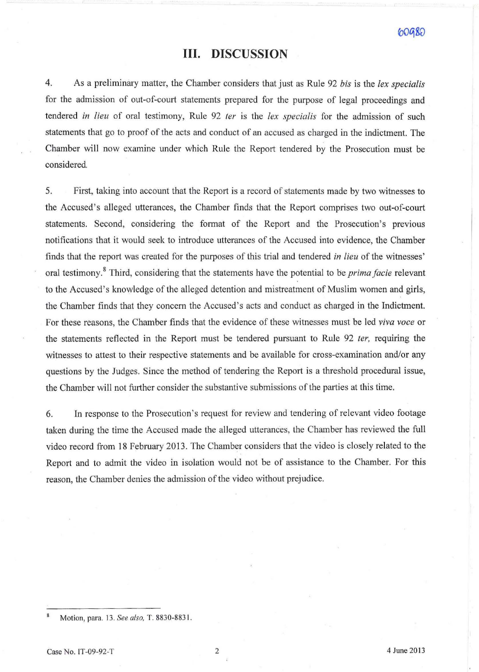### **Ill. DISCUSSION**

4. As a preliminary matter, the Chamber considers that just as Rule 92 *bis* is the *lex specialis*  for the admission of out-of-court statements prepared for the purpose of legal proceedings and tendered *in lieu* of oral testimony, Rule 92 *ter* is the *lex specialis* for the admission of such statements that go to proof of the acts and conduct of an accused as charged in the indictment. The Chamber will now examine under which Rule the Report tendered by the Prosecution must be considered.

5. First, taking into account that the Report is a record of statements made by two witnesses to the Accused 's alleged utterances, the Chamber finds that the Report comprises two out-of-court statements. Second, considering the format of the Report and the Prosecution's previous notifications that it would seek to introduce utterances of the Accused into evidence, the Chamber finds that the report was created for the purposes of this trial and tendered *in lieu* of the witnesses' oral testimony.<sup>8</sup> Third, considering that the statements have the potential to be *prima facie* relevant to the Accused's knowledge of the alleged detention and mistreatment of Muslim women and girls, the Chamber finds that they concern the Accused's acts and conduct as charged in the Indictment. For these reasons, the Chamber finds that the evidence of these witnesses must be led *viva voce* or the statements reflected in the Report must be tendered pursuant to Rule 92 *fer,* requiring the witnesses to attest to their respective statements and be available for cross-examination and/or any questions by the Judges. Since the method of tendering the Report is a threshold procedural issue, the Chamber will not further consider the substantive submissions of the parties at this time.

6. In response to the Prosecution's request for review and tendering of relevant video footage taken during the time the Accused made the alleged utterances, the Chamber has reviewed the full video record from 18 February 2013. The Chamber considers that the video is closely related to the Report and to admit the video in isolation would not be of assistance to the Chamber. For this reason, the Chamber denies the admission of the video without prejudice.

 $\boldsymbol{8}$ Motion, para. 13. *See also,* T. 8830-8831 .